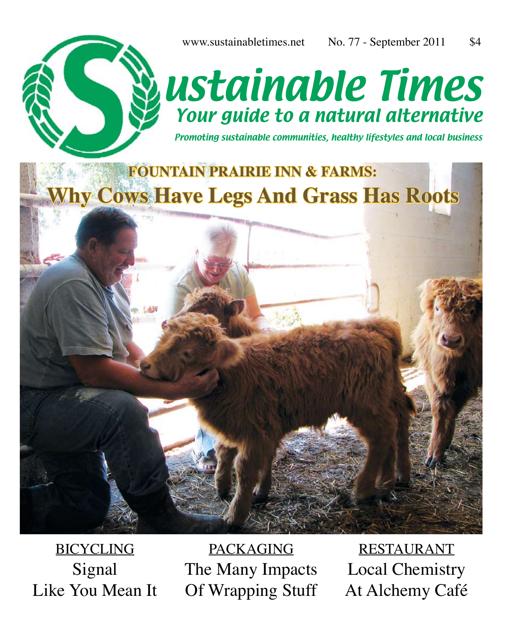

Promoting sustainable communities, healthy lifestyles and local business

## **FOUNTAIN PRAIRIE INN & FARMS: Why Cows Have Legs And Grass Has Roots**



PACKAGING The Many Impacts Of Wrapping Stuff

RESTAURANT Local Chemistry At Alchemy Café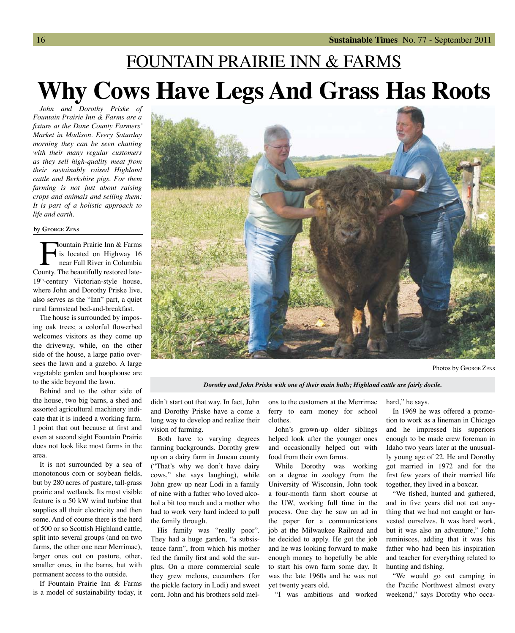## FOUNTAIN PRAIRIE INN & FARMS **Why Cows Have Legs And Grass Has Roots**

*John and Dorothy Priske of Fountain Prairie Inn & Farms are a fixture at the Dane County Farmers' Market in Madison. Every Saturday morning they can be seen chatting with their many regular customers as they sell high-quality meat from their sustainably raised Highland cattle and Berkshire pigs. For them farming is not just about raising crops and animals and selling them: It is part of a holistic approach to life and earth.*

## by **George Zens**

**Fountain Prairie Inn & Farms**<br>is located on Highway 16<br>near Fall River in Columbia<br>bunty. The beautifully restored lateis located on Highway 16 near Fall River in Columbia County. The beautifully restored late-19th-century Victorian-style house, where John and Dorothy Priske live, also serves as the "Inn" part, a quiet rural farmstead bed-and-breakfast.

The house is surrounded by imposing oak trees; a colorful flowerbed welcomes visitors as they come up the driveway, while, on the other side of the house, a large patio oversees the lawn and a gazebo. A large vegetable garden and hoophouse are to the side beyond the lawn.

Behind and to the other side of the house, two big barns, a shed and assorted agricultural machinery indicate that it is indeed a working farm. I point that out because at first and even at second sight Fountain Prairie does not look like most farms in the area.

It is not surrounded by a sea of monotonous corn or soybean fields, but by 280 acres of pasture, tall-grass prairie and wetlands. Its most visible feature is a 50 kW wind turbine that supplies all their electricity and then some. And of course there is the herd of 500 or so Scottish Highland cattle, split into several groups (and on two farms, the other one near Merrimac), larger ones out on pasture, other, smaller ones, in the barns, but with permanent access to the outside.

If Fountain Prairie Inn & Farms is a model of sustainability today, it



*Dorothy and John Priske with one of their main bulls; Highland cattle are fairly docile.*

didn't start out that way. In fact, John and Dorothy Priske have a come a long way to develop and realize their vision of farming.

Both have to varying degrees farming backgrounds. Dorothy grew up on a dairy farm in Juneau county ("That's why we don't have dairy cows," she says laughing), while John grew up near Lodi in a family of nine with a father who loved alcohol a bit too much and a mother who had to work very hard indeed to pull the family through.

His family was "really poor". They had a huge garden, "a subsistence farm", from which his mother fed the family first and sold the surplus. On a more commercial scale they grew melons, cucumbers (for the pickle factory in Lodi) and sweet corn. John and his brothers sold melons to the customers at the Merrimac ferry to earn money for school clothes.

John's grown-up older siblings helped look after the younger ones and occasionally helped out with food from their own farms.

While Dorothy was working on a degree in zoology from the University of Wisconsin, John took a four-month farm short course at the UW, working full time in the process. One day he saw an ad in the paper for a communications job at the Milwaukee Railroad and he decided to apply. He got the job and he was looking forward to make enough money to hopefully be able to start his own farm some day. It was the late 1960s and he was not yet twenty years old.

"I was ambitious and worked

hard," he says.

In 1969 he was offered a promotion to work as a lineman in Chicago and he impressed his superiors enough to be made crew foreman in Idaho two years later at the unusually young age of 22. He and Dorothy got married in 1972 and for the first few years of their married life together, they lived in a boxcar.

"We fished, hunted and gathered, and in five years did not eat anything that we had not caught or harvested ourselves. It was hard work, but it was also an adventure," John reminisces, adding that it was his father who had been his inspiration and teacher for everything related to hunting and fishing.

"We would go out camping in the Pacific Northwest almost every weekend," says Dorothy who occa-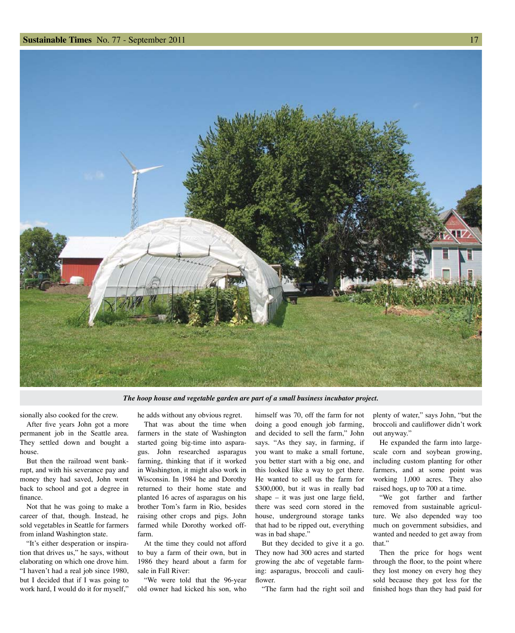

*The hoop house and vegetable garden are part of a small business incubator project.*

sionally also cooked for the crew.

After five years John got a more permanent job in the Seattle area. They settled down and bought a house.

But then the railroad went bankrupt, and with his severance pay and money they had saved, John went back to school and got a degree in finance.

Not that he was going to make a career of that, though. Instead, he sold vegetables in Seattle for farmers from inland Washington state.

"It's either desperation or inspiration that drives us," he says, without elaborating on which one drove him. "I haven't had a real job since 1980, but I decided that if I was going to work hard, I would do it for myself,"

he adds without any obvious regret.

That was about the time when farmers in the state of Washington started going big-time into asparagus. John researched asparagus farming, thinking that if it worked in Washington, it might also work in Wisconsin. In 1984 he and Dorothy returned to their home state and planted 16 acres of asparagus on his brother Tom's farm in Rio, besides raising other crops and pigs. John farmed while Dorothy worked offfarm.

At the time they could not afford to buy a farm of their own, but in 1986 they heard about a farm for sale in Fall River:

"We were told that the 96-year old owner had kicked his son, who

himself was 70, off the farm for not doing a good enough job farming, and decided to sell the farm," John says. "As they say, in farming, if you want to make a small fortune, you better start with a big one, and this looked like a way to get there. He wanted to sell us the farm for \$300,000, but it was in really bad shape – it was just one large field, there was seed corn stored in the house, underground storage tanks that had to be ripped out, everything was in bad shape."

But they decided to give it a go. They now had 300 acres and started growing the abc of vegetable farming: asparagus, broccoli and cauliflower.

"The farm had the right soil and

plenty of water," says John, "but the broccoli and cauliflower didn't work out anyway."

He expanded the farm into largescale corn and soybean growing, including custom planting for other farmers, and at some point was working 1,000 acres. They also raised hogs, up to 700 at a time.

"We got farther and farther removed from sustainable agriculture. We also depended way too much on government subsidies, and wanted and needed to get away from that."

Then the price for hogs went through the floor, to the point where they lost money on every hog they sold because they got less for the finished hogs than they had paid for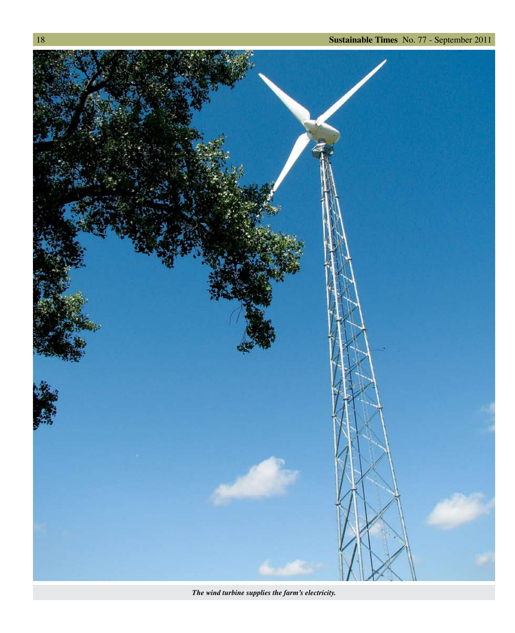

*The wind turbine supplies the farm's electricity.*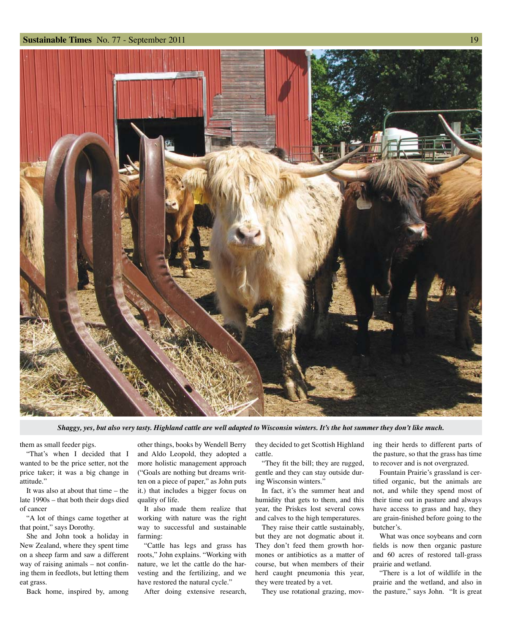

*Shaggy, yes, but also very tasty. Highland cattle are well adapted to Wisconsin winters. It's the hot summer they don't like much.*

them as small feeder pigs.

"That's when I decided that I wanted to be the price setter, not the price taker; it was a big change in attitude."

It was also at about that time – the late 1990s – that both their dogs died of cancer

"A lot of things came together at that point," says Dorothy.

She and John took a holiday in New Zealand, where they spent time on a sheep farm and saw a different way of raising animals – not confining them in feedlots, but letting them eat grass.

Back home, inspired by, among

other things, books by Wendell Berry and Aldo Leopold, they adopted a more holistic management approach ("Goals are nothing but dreams written on a piece of paper," as John puts it.) that includes a bigger focus on quality of life.

It also made them realize that working with nature was the right way to successful and sustainable farming:

"Cattle has legs and grass has roots," John explains. "Working with nature, we let the cattle do the harvesting and the fertilizing, and we have restored the natural cycle."

After doing extensive research,

they decided to get Scottish Highland cattle. "They fit the bill; they are rugged,

gentle and they can stay outside during Wisconsin winters."

In fact, it's the summer heat and humidity that gets to them, and this year, the Priskes lost several cows and calves to the high temperatures.

They raise their cattle sustainably, but they are not dogmatic about it. They don't feed them growth hormones or antibiotics as a matter of course, but when members of their herd caught pneumonia this year, they were treated by a vet.

They use rotational grazing, mov-

ing their herds to different parts of the pasture, so that the grass has time to recover and is not overgrazed.

Fountain Prairie's grassland is certified organic, but the animals are not, and while they spend most of their time out in pasture and always have access to grass and hay, they are grain-finished before going to the butcher's.

What was once soybeans and corn fields is now then organic pasture and 60 acres of restored tall-grass prairie and wetland.

"There is a lot of wildlife in the prairie and the wetland, and also in the pasture," says John. "It is great